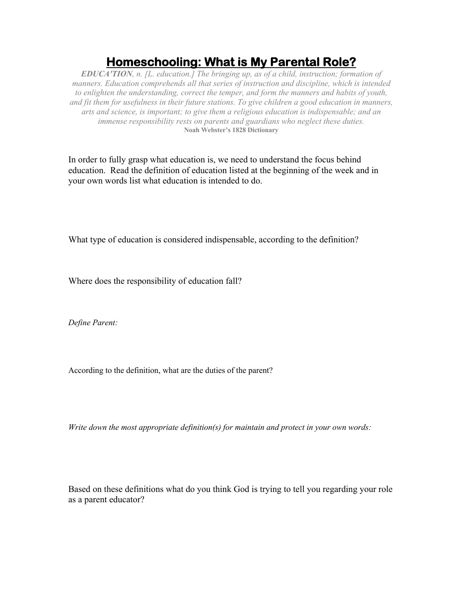## **Homeschooling: What is My Parental Role?**

*EDUCA'TION, n. [L. education.] The bringing up, as of a child, instruction; formation of manners. Education comprehends all that series of instruction and discipline, which is intended to enlighten the understanding, correct the temper, and form the manners and habits of youth, and fit them for usefulness in their future stations. To give children a good education in manners, arts and science, is important; to give them a religious education is indispensable; and an immense responsibility rests on parents and guardians who neglect these duties.* **Noah Webster's 1828 Dictionary**

In order to fully grasp what education is, we need to understand the focus behind education. Read the definition of education listed at the beginning of the week and in your own words list what education is intended to do.

What type of education is considered indispensable, according to the definition?

Where does the responsibility of education fall?

*Define Parent:*

According to the definition, what are the duties of the parent?

*Write down the most appropriate definition(s) for maintain and protect in your own words:*

Based on these definitions what do you think God is trying to tell you regarding your role as a parent educator?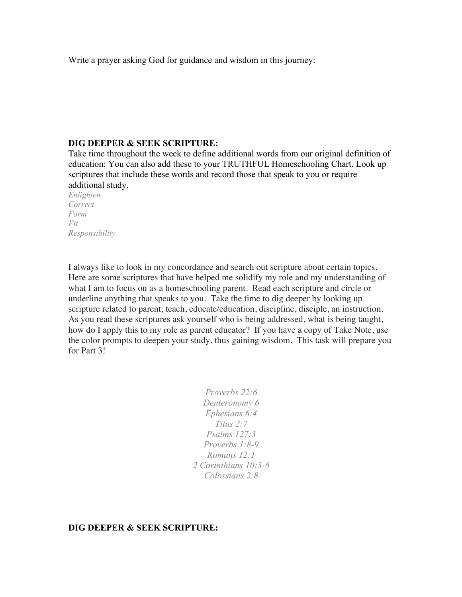Write a prayer asking God for guidance and wisdom in this journey:

## **DIG DEEPER & SEEK SCRIPTURE:**

Take time throughout the week to define additional words from our original definition of education: You can also add these to your TRUTHFUL Homeschooling Chart. Look up scriptures that include these words and record those that speak to you or require additional study.

*Enlighten Correct Form Fit Responsibility*

I always like to look in my concordance and search out scripture about certain topics. Here are some scriptures that have helped me solidify my role and my understanding of what I am to focus on as a homeschooling parent. Read each scripture and circle or underline anything that speaks to you. Take the time to dig deeper by looking up scripture related to parent, teach, educate/education, discipline, disciple, an instruction. As you read these scriptures ask yourself who is being addressed, what is being taught, how do I apply this to my role as parent educator? If you have a copy of Take Note, use the color prompts to deepen your study, thus gaining wisdom. This task will prepare you for Part 3!

> *Proverbs 22:6 Deuteronomy 6 Ephesians 6:4 Titus 2:7 Psalms 127:3 Proverbs 1:8-9 Romans 12:1 2 Corinthians 10:3-6 Colossians 2:8*

## **DIG DEEPER & SEEK SCRIPTURE:**